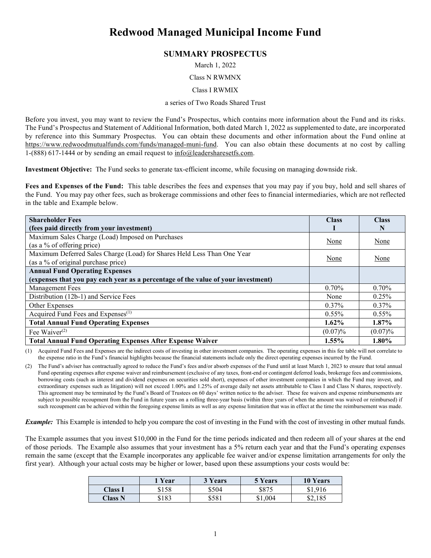# **Redwood Managed Municipal Income Fund**

## **SUMMARY PROSPECTUS**

March 1, 2022

#### Class N RWMNX

#### Class I RWMIX

#### a series of Two Roads Shared Trust

Before you invest, you may want to review the Fund's Prospectus, which contains more information about the Fund and its risks. The Fund's Prospectus and Statement of Additional Information, both dated March 1, 2022 as supplemented to date, are incorporated by reference into this Summary Prospectus. You can obtain these documents and other information about the Fund online at [https://www.redwoodmutualfunds.com/funds/managed-muni-fund.](https://www.redwoodmutualfunds.com/funds/managed-muni-fund) You can also obtain these documents at no cost by calling 1-(888) 617-1444 or by sending an email request to [info@leadersharesetfs.com.](mailto:info@leadersharesetfs.com)

**Investment Objective:** The Fund seeks to generate tax-efficient income, while focusing on managing downside risk.

**Fees and Expenses of the Fund:** This table describes the fees and expenses that you may pay if you buy, hold and sell shares of the Fund. You may pay other fees, such as brokerage commissions and other fees to financial intermediaries, which are not reflected in the table and Example below.

| <b>Shareholder Fees</b>                                                           | <b>Class</b> | <b>Class</b> |
|-----------------------------------------------------------------------------------|--------------|--------------|
| (fees paid directly from your investment)                                         |              | N            |
| Maximum Sales Charge (Load) Imposed on Purchases                                  | None         | None         |
| (as a % of offering price)                                                        |              |              |
| Maximum Deferred Sales Charge (Load) for Shares Held Less Than One Year           |              |              |
| (as a % of original purchase price)                                               | None         | None         |
| <b>Annual Fund Operating Expenses</b>                                             |              |              |
| (expenses that you pay each year as a percentage of the value of your investment) |              |              |
| Management Fees                                                                   | 0.70%        | 0.70%        |
| Distribution (12b-1) and Service Fees                                             | None         | 0.25%        |
| Other Expenses                                                                    | $0.37\%$     | $0.37\%$     |
| Acquired Fund Fees and Expenses <sup>(1)</sup>                                    | $0.55\%$     | $0.55\%$     |
| <b>Total Annual Fund Operating Expenses</b>                                       | $1.62\%$     | $1.87\%$     |
| Fee Waiver $(2)$                                                                  | $(0.07)\%$   | $(0.07)\%$   |
| <b>Total Annual Fund Operating Expenses After Expense Waiver</b>                  | 1.55%        | $1.80\%$     |

(1) Acquired Fund Fees and Expenses are the indirect costs of investing in other investment companies. The operating expenses in this fee table will not correlate to the expense ratio in the Fund's financial highlights because the financial statements include only the direct operating expenses incurred by the Fund.

(2) The Fund's adviser has contractually agreed to reduce the Fund's fees and/or absorb expenses of the Fund until at least March 1, 2023 to ensure that total annual Fund operating expenses after expense waiver and reimbursement (exclusive of any taxes, front-end or contingent deferred loads, brokerage fees and commissions, borrowing costs (such as interest and dividend expenses on securities sold short), expenses of other investment companies in which the Fund may invest, and extraordinary expenses such as litigation) will not exceed 1.00% and 1.25% of average daily net assets attributable to Class I and Class N shares, respectively. This agreement may be terminated by the Fund's Board of Trustees on 60 days' written notice to the adviser. These fee waivers and expense reimbursements are subject to possible recoupment from the Fund in future years on a rolling three-year basis (within three years of when the amount was waived or reimbursed) if such recoupment can be achieved within the foregoing expense limits as well as any expense limitation that was in effect at the time the reimbursement was made.

*Example:* This Example is intended to help you compare the cost of investing in the Fund with the cost of investing in other mutual funds.

The Example assumes that you invest \$10,000 in the Fund for the time periods indicated and then redeem all of your shares at the end of those periods. The Example also assumes that your investment has a 5% return each year and that the Fund's operating expenses remain the same (except that the Example incorporates any applicable fee waiver and/or expense limitation arrangements for only the first year). Although your actual costs may be higher or lower, based upon these assumptions your costs would be:

|                | 1 Year | 3 Years | 5 Years | <b>10 Years</b> |
|----------------|--------|---------|---------|-----------------|
| <b>Class 1</b> | \$158  | \$504   | \$875   | \$1,916         |
| Class N        | \$183  | \$581   | \$1,004 | \$2,185         |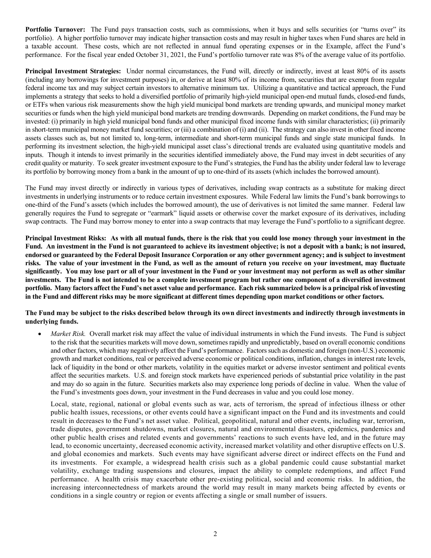**Portfolio Turnover:** The Fund pays transaction costs, such as commissions, when it buys and sells securities (or "turns over" its portfolio). A higher portfolio turnover may indicate higher transaction costs and may result in higher taxes when Fund shares are held in a taxable account. These costs, which are not reflected in annual fund operating expenses or in the Example, affect the Fund's performance. For the fiscal year ended October 31, 2021, the Fund's portfolio turnover rate was 8% of the average value of its portfolio.

**Principal Investment Strategies:** Under normal circumstances, the Fund will, directly or indirectly, invest at least 80% of its assets (including any borrowings for investment purposes) in, or derive at least 80% of its income from, securities that are exempt from regular federal income tax and may subject certain investors to alternative minimum tax. Utilizing a quantitative and tactical approach, the Fund implements a strategy that seeks to hold a diversified portfolio of primarily high-yield municipal open-end mutual funds, closed-end funds, or ETFs when various risk measurements show the high yield municipal bond markets are trending upwards, and municipal money market securities or funds when the high yield municipal bond markets are trending downwards. Depending on market conditions, the Fund may be invested: (i) primarily in high yield municipal bond funds and other municipal fixed income funds with similar characteristics; (ii) primarily in short-term municipal money market fund securities; or (iii) a combination of (i) and (ii). The strategy can also invest in other fixed income assets classes such as, but not limited to, long-term, intermediate and short-term municipal funds and single state municipal funds. In performing its investment selection, the high-yield municipal asset class's directional trends are evaluated using quantitative models and inputs. Though it intends to invest primarily in the securities identified immediately above, the Fund may invest in debt securities of any credit quality or maturity. To seek greater investment exposure to the Fund's strategies, the Fund has the ability under federal law to leverage its portfolio by borrowing money from a bank in the amount of up to one-third of its assets (which includes the borrowed amount).

The Fund may invest directly or indirectly in various types of derivatives, including swap contracts as a substitute for making direct investments in underlying instruments or to reduce certain investment exposures. While Federal law limits the Fund's bank borrowings to one-third of the Fund's assets (which includes the borrowed amount), the use of derivatives is not limited the same manner. Federal law generally requires the Fund to segregate or "earmark" liquid assets or otherwise cover the market exposure of its derivatives, including swap contracts. The Fund may borrow money to enter into a swap contracts that may leverage the Fund's portfolio to a significant degree.

**Principal Investment Risks: As with all mutual funds, there is the risk that you could lose money through your investment in the Fund. An investment in the Fund is not guaranteed to achieve its investment objective; is not a deposit with a bank; is not insured, endorsed or guaranteed by the Federal Deposit Insurance Corporation or any other government agency; and is subject to investment risks. The value of your investment in the Fund, as well as the amount of return you receive on your investment, may fluctuate significantly. You may lose part or all of your investment in the Fund or your investment may not perform as well as other similar investments. The Fund is not intended to be a complete investment program but rather one component of a diversified investment portfolio. Many factors affect the Fund's net asset value and performance. Each risk summarized below is a principal risk of investing in the Fund and different risks may be more significant at different times depending upon market conditions or other factors.**

### **The Fund may be subject to the risks described below through its own direct investments and indirectly through investments in underlying funds.**

*Market Risk.* Overall market risk may affect the value of individual instruments in which the Fund invests. The Fund is subject to the risk that the securities markets will move down, sometimes rapidly and unpredictably, based on overall economic conditions and other factors, which may negatively affect the Fund's performance. Factors such as domestic and foreign (non-U.S.) economic growth and market conditions, real or perceived adverse economic or political conditions, inflation, changes in interest rate levels, lack of liquidity in the bond or other markets, volatility in the equities market or adverse investor sentiment and political events affect the securities markets. U.S. and foreign stock markets have experienced periods of substantial price volatility in the past and may do so again in the future. Securities markets also may experience long periods of decline in value. When the value of the Fund's investments goes down, your investment in the Fund decreases in value and you could lose money.

Local, state, regional, national or global events such as war, acts of terrorism, the spread of infectious illness or other public health issues, recessions, or other events could have a significant impact on the Fund and its investments and could result in decreases to the Fund's net asset value. Political, geopolitical, natural and other events, including war, terrorism, trade disputes, government shutdowns, market closures, natural and environmental disasters, epidemics, pandemics and other public health crises and related events and governments' reactions to such events have led, and in the future may lead, to economic uncertainty, decreased economic activity, increased market volatility and other disruptive effects on U.S. and global economies and markets. Such events may have significant adverse direct or indirect effects on the Fund and its investments. For example, a widespread health crisis such as a global pandemic could cause substantial market volatility, exchange trading suspensions and closures, impact the ability to complete redemptions, and affect Fund performance. A health crisis may exacerbate other pre-existing political, social and economic risks. In addition, the increasing interconnectedness of markets around the world may result in many markets being affected by events or conditions in a single country or region or events affecting a single or small number of issuers.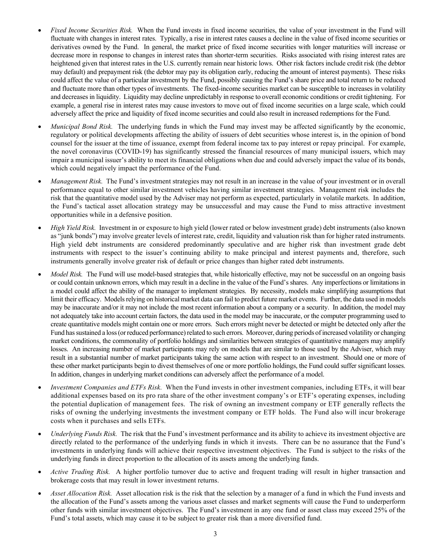- *Fixed Income Securities Risk.* When the Fund invests in fixed income securities, the value of your investment in the Fund will fluctuate with changes in interest rates. Typically, a rise in interest rates causes a decline in the value of fixed income securities or derivatives owned by the Fund. In general, the market price of fixed income securities with longer maturities will increase or decrease more in response to changes in interest rates than shorter-term securities. Risks associated with rising interest rates are heightened given that interest rates in the U.S. currently remain near historic lows. Other risk factors include credit risk (the debtor may default) and prepayment risk (the debtor may pay its obligation early, reducing the amount of interest payments). These risks could affect the value of a particular investment by the Fund, possibly causing the Fund's share price and total return to be reduced and fluctuate more than other types of investments. The fixed-income securities market can be susceptible to increases in volatility and decreases in liquidity. Liquidity may decline unpredictably in response to overall economic conditions or credit tightening. For example, a general rise in interest rates may cause investors to move out of fixed income securities on a large scale, which could adversely affect the price and liquidity of fixed income securities and could also result in increased redemptions for the Fund.
- *Municipal Bond Risk.* The underlying funds in which the Fund may invest may be affected significantly by the economic, regulatory or political developments affecting the ability of issuers of debt securities whose interest is, in the opinion of bond counsel for the issuer at the time of issuance, exempt from federal income tax to pay interest or repay principal. For example, the novel coronavirus (COVID-19) has significantly stressed the financial resources of many municipal issuers, which may impair a municipal issuer's ability to meet its financial obligations when due and could adversely impact the value of its bonds, which could negatively impact the performance of the Fund.
- *Management Risk.* The Fund's investment strategies may not result in an increase in the value of your investment or in overall performance equal to other similar investment vehicles having similar investment strategies. Management risk includes the risk that the quantitative model used by the Adviser may not perform as expected, particularly in volatile markets. In addition, the Fund's tactical asset allocation strategy may be unsuccessful and may cause the Fund to miss attractive investment opportunities while in a defensive position.
- *High Yield Risk.* Investment in or exposure to high yield (lower rated or below investment grade) debt instruments (also known as "junk bonds") may involve greater levels of interest rate, credit, liquidity and valuation risk than for higher rated instruments. High yield debt instruments are considered predominantly speculative and are higher risk than investment grade debt instruments with respect to the issuer's continuing ability to make principal and interest payments and, therefore, such instruments generally involve greater risk of default or price changes than higher rated debt instruments.
- *Model Risk.* The Fund will use model-based strategies that, while historically effective, may not be successful on an ongoing basis or could contain unknown errors, which may result in a decline in the value of the Fund's shares. Any imperfections or limitations in a model could affect the ability of the manager to implement strategies. By necessity, models make simplifying assumptions that limit their efficacy. Models relying on historical market data can fail to predict future market events. Further, the data used in models may be inaccurate and/or it may not include the most recent information about a company or a security. In addition, the model may not adequately take into account certain factors, the data used in the model may be inaccurate, or the computer programming used to create quantitative models might contain one or more errors. Such errors might never be detected or might be detected only after the Fund has sustained a loss (or reduced performance) related to such errors. Moreover, during periods of increased volatility or changing market conditions, the commonality of portfolio holdings and similarities between strategies of quantitative managers may amplify losses. An increasing number of market participants may rely on models that are similar to those used by the Adviser, which may result in a substantial number of market participants taking the same action with respect to an investment. Should one or more of these other market participants begin to divest themselves of one or more portfolio holdings, the Fund could suffer significant losses. In addition, changes in underlying market conditions can adversely affect the performance of a model.
- *Investment Companies and ETFs Risk.* When the Fund invests in other investment companies, including ETFs, it will bear additional expenses based on its pro rata share of the other investment company's or ETF's operating expenses, including the potential duplication of management fees. The risk of owning an investment company or ETF generally reflects the risks of owning the underlying investments the investment company or ETF holds. The Fund also will incur brokerage costs when it purchases and sells ETFs.
- *Underlying Funds Risk.* The risk that the Fund's investment performance and its ability to achieve its investment objective are directly related to the performance of the underlying funds in which it invests. There can be no assurance that the Fund's investments in underlying funds will achieve their respective investment objectives. The Fund is subject to the risks of the underlying funds in direct proportion to the allocation of its assets among the underlying funds.
- *Active Trading Risk.* A higher portfolio turnover due to active and frequent trading will result in higher transaction and brokerage costs that may result in lower investment returns.
- *Asset Allocation Risk.* Asset allocation risk is the risk that the selection by a manager of a fund in which the Fund invests and the allocation of the Fund's assets among the various asset classes and market segments will cause the Fund to underperform other funds with similar investment objectives. The Fund's investment in any one fund or asset class may exceed 25% of the Fund's total assets, which may cause it to be subject to greater risk than a more diversified fund.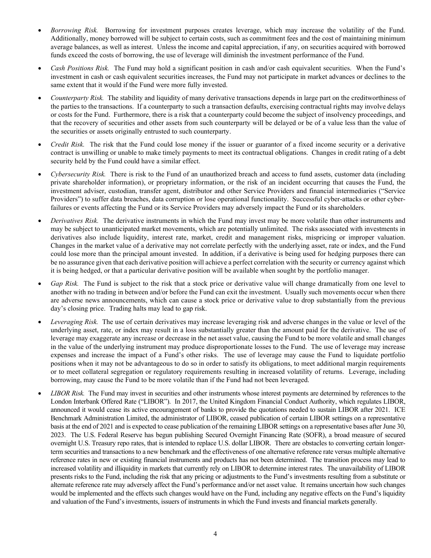- *Borrowing Risk.* Borrowing for investment purposes creates leverage, which may increase the volatility of the Fund. Additionally, money borrowed will be subject to certain costs, such as commitment fees and the cost of maintaining minimum average balances, as well as interest. Unless the income and capital appreciation, if any, on securities acquired with borrowed funds exceed the costs of borrowing, the use of leverage will diminish the investment performance of the Fund.
- *Cash Positions Risk.* The Fund may hold a significant position in cash and/or cash equivalent securities. When the Fund's investment in cash or cash equivalent securities increases, the Fund may not participate in market advances or declines to the same extent that it would if the Fund were more fully invested.
- *Counterparty Risk.* The stability and liquidity of many derivative transactions depends in large part on the creditworthiness of the parties to the transactions. If a counterparty to such a transaction defaults, exercising contractual rights may involve delays or costs for the Fund. Furthermore, there is a risk that a counterparty could become the subject of insolvency proceedings, and that the recovery of securities and other assets from such counterparty will be delayed or be of a value less than the value of the securities or assets originally entrusted to such counterparty.
- *Credit Risk.* The risk that the Fund could lose money if the issuer or guarantor of a fixed income security or a derivative contract is unwilling or unable to make timely payments to meet its contractual obligations. Changes in credit rating of a debt security held by the Fund could have a similar effect.
- *Cybersecurity Risk.* There is risk to the Fund of an unauthorized breach and access to fund assets, customer data (including private shareholder information), or proprietary information, or the risk of an incident occurring that causes the Fund, the investment adviser, custodian, transfer agent, distributor and other Service Providers and financial intermediaries ("Service Providers") to suffer data breaches, data corruption or lose operational functionality. Successful cyber-attacks or other cyberfailures or events affecting the Fund or its Service Providers may adversely impact the Fund or its shareholders.
- *Derivatives Risk.* The derivative instruments in which the Fund may invest may be more volatile than other instruments and may be subject to unanticipated market movements, which are potentially unlimited. The risks associated with investments in derivatives also include liquidity, interest rate, market, credit and management risks, mispricing or improper valuation. Changes in the market value of a derivative may not correlate perfectly with the underlying asset, rate or index, and the Fund could lose more than the principal amount invested. In addition, if a derivative is being used for hedging purposes there can be no assurance given that each derivative position will achieve a perfect correlation with the security or currency against which it is being hedged, or that a particular derivative position will be available when sought by the portfolio manager.
- *Gap Risk.* The Fund is subject to the risk that a stock price or derivative value will change dramatically from one level to another with no trading in between and/or before the Fund can exit the investment. Usually such movements occur when there are adverse news announcements, which can cause a stock price or derivative value to drop substantially from the previous day's closing price. Trading halts may lead to gap risk.
- *Leveraging Risk.* The use of certain derivatives may increase leveraging risk and adverse changes in the value or level of the underlying asset, rate, or index may result in a loss substantially greater than the amount paid for the derivative. The use of leverage may exaggerate any increase or decrease in the net asset value, causing the Fund to be more volatile and small changes in the value of the underlying instrument may produce disproportionate losses to the Fund. The use of leverage may increase expenses and increase the impact of a Fund's other risks. The use of leverage may cause the Fund to liquidate portfolio positions when it may not be advantageous to do so in order to satisfy its obligations, to meet additional margin requirements or to meet collateral segregation or regulatory requirements resulting in increased volatility of returns. Leverage, including borrowing, may cause the Fund to be more volatile than if the Fund had not been leveraged.
- *LIBOR Risk.* The Fund may invest in securities and other instruments whose interest payments are determined by references to the London Interbank Offered Rate ("LIBOR"). In 2017, the United Kingdom Financial Conduct Authority, which regulates LIBOR, announced it would cease its active encouragement of banks to provide the quotations needed to sustain LIBOR after 2021. ICE Benchmark Administration Limited, the administrator of LIBOR, ceased publication of certain LIBOR settings on a representative basis at the end of 2021 and is expected to cease publication of the remaining LIBOR settings on a representative bases after June 30, 2023. The U.S. Federal Reserve has begun publishing Secured Overnight Financing Rate (SOFR), a broad measure of secured overnight U.S. Treasury repo rates, that is intended to replace U.S. dollar LIBOR. There are obstacles to converting certain longerterm securities and transactions to a new benchmark and the effectiveness of one alternative reference rate versus multiple alternative reference rates in new or existing financial instruments and products has not been determined. The transition process may lead to increased volatility and illiquidity in markets that currently rely on LIBOR to determine interest rates. The unavailability of LIBOR presents risks to the Fund, including the risk that any pricing or adjustments to the Fund's investments resulting from a substitute or alternate reference rate may adversely affect the Fund's performance and/or net asset value. It remains uncertain how such changes would be implemented and the effects such changes would have on the Fund, including any negative effects on the Fund's liquidity and valuation of the Fund's investments, issuers of instruments in which the Fund invests and financial markets generally.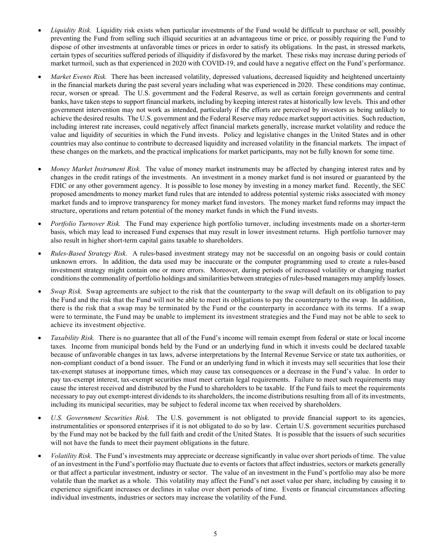- *Liquidity Risk.* Liquidity risk exists when particular investments of the Fund would be difficult to purchase or sell, possibly preventing the Fund from selling such illiquid securities at an advantageous time or price, or possibly requiring the Fund to dispose of other investments at unfavorable times or prices in order to satisfy its obligations. In the past, in stressed markets, certain types of securities suffered periods of illiquidity if disfavored by the market. These risks may increase during periods of market turmoil, such as that experienced in 2020 with COVID-19, and could have a negative effect on the Fund's performance.
- *Market Events Risk.* There has been increased volatility, depressed valuations, decreased liquidity and heightened uncertainty in the financial markets during the past several years including what was experienced in 2020. These conditions may continue, recur, worsen or spread. The U.S. government and the Federal Reserve, as well as certain foreign governments and central banks, have taken steps to support financial markets, including by keeping interest rates at historically low levels. This and other government intervention may not work as intended, particularly if the efforts are perceived by investors as being unlikely to achieve the desired results. The U.S. government and the Federal Reserve may reduce market support activities. Such reduction, including interest rate increases, could negatively affect financial markets generally, increase market volatility and reduce the value and liquidity of securities in which the Fund invests. Policy and legislative changes in the United States and in other countries may also continue to contribute to decreased liquidity and increased volatility in the financial markets. The impact of these changes on the markets, and the practical implications for market participants, may not be fully known for some time.
- *Money Market Instrument Risk.* The value of money market instruments may be affected by changing interest rates and by changes in the credit ratings of the investments. An investment in a money market fund is not insured or guaranteed by the FDIC or any other government agency. It is possible to lose money by investing in a money market fund. Recently, the SEC proposed amendments to money market fund rules that are intended to address potential systemic risks associated with money market funds and to improve transparency for money market fund investors. The money market fund reforms may impact the structure, operations and return potential of the money market funds in which the Fund invests.
- *Portfolio Turnover Risk.* The Fund may experience high portfolio turnover, including investments made on a shorter-term basis, which may lead to increased Fund expenses that may result in lower investment returns. High portfolio turnover may also result in higher short-term capital gains taxable to shareholders.
- *Rules*-*Based Strategy Risk.* A rules-based investment strategy may not be successful on an ongoing basis or could contain unknown errors. In addition, the data used may be inaccurate or the computer programming used to create a rules-based investment strategy might contain one or more errors. Moreover, during periods of increased volatility or changing market conditions the commonality of portfolio holdings and similarities between strategies of rules-based managers may amplify losses.
- *Swap Risk.* Swap agreements are subject to the risk that the counterparty to the swap will default on its obligation to pay the Fund and the risk that the Fund will not be able to meet its obligations to pay the counterparty to the swap. In addition, there is the risk that a swap may be terminated by the Fund or the counterparty in accordance with its terms. If a swap were to terminate, the Fund may be unable to implement its investment strategies and the Fund may not be able to seek to achieve its investment objective.
- *Taxability Risk.* There is no guarantee that all of the Fund's income will remain exempt from federal or state or local income taxes. Income from municipal bonds held by the Fund or an underlying fund in which it invests could be declared taxable because of unfavorable changes in tax laws, adverse interpretations by the Internal Revenue Service or state tax authorities, or non-compliant conduct of a bond issuer. The Fund or an underlying fund in which it invests may sell securities that lose their tax-exempt statuses at inopportune times, which may cause tax consequences or a decrease in the Fund's value. In order to pay tax-exempt interest, tax-exempt securities must meet certain legal requirements. Failure to meet such requirements may cause the interest received and distributed by the Fund to shareholders to be taxable. If the Fund fails to meet the requirements necessary to pay out exempt-interest dividends to its shareholders, the income distributions resulting from all of its investments, including its municipal securities, may be subject to federal income tax when received by shareholders.
- *U.S. Government Securities Risk.* The U.S. government is not obligated to provide financial support to its agencies, instrumentalities or sponsored enterprises if it is not obligated to do so by law. Certain U.S. government securities purchased by the Fund may not be backed by the full faith and credit of the United States. It is possible that the issuers of such securities will not have the funds to meet their payment obligations in the future.
- *Volatility Risk*. The Fund's investments may appreciate or decrease significantly in value over short periods of time. The value of an investment in the Fund's portfolio may fluctuate due to events or factors that affect industries, sectors or markets generally or that affect a particular investment, industry or sector. The value of an investment in the Fund's portfolio may also be more volatile than the market as a whole. This volatility may affect the Fund's net asset value per share, including by causing it to experience significant increases or declines in value over short periods of time. Events or financial circumstances affecting individual investments, industries or sectors may increase the volatility of the Fund.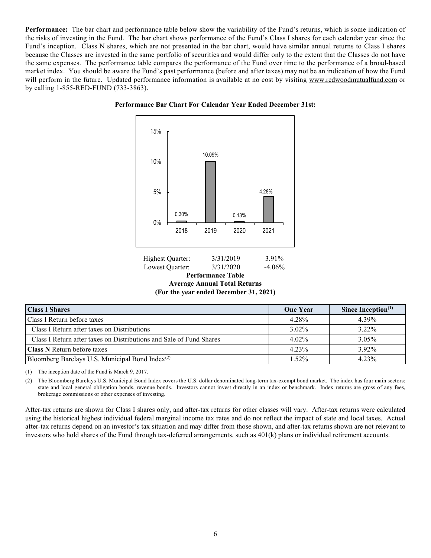**Performance:** The bar chart and performance table below show the variability of the Fund's returns, which is some indication of the risks of investing in the Fund. The bar chart shows performance of the Fund's Class I shares for each calendar year since the Fund's inception. Class N shares, which are not presented in the bar chart, would have similar annual returns to Class I shares because the Classes are invested in the same portfolio of securities and would differ only to the extent that the Classes do not have the same expenses. The performance table compares the performance of the Fund over time to the performance of a broad-based market index. You should be aware the Fund's past performance (before and after taxes) may not be an indication of how the Fund will perform in the future. Updated performance information is available at no cost by visiting [www.redwoodmutualfund.com](http://www.redwoodmutualfund.com/) or by calling 1-855-RED-FUND (733-3863).





| Highest Quarter: | 3/31/2019                              | 3.91%    |
|------------------|----------------------------------------|----------|
| Lowest Quarter:  | 3/31/2020                              | $-4.06%$ |
|                  | <b>Performance Table</b>               |          |
|                  | <b>Average Annual Total Returns</b>    |          |
|                  | (For the year ended December 31, 2021) |          |

**Class I Shares One Year Since Inception**<sup>(1)</sup> **One Year Since Inception**<sup>(1)</sup> Class I Return before taxes  $4.28\%$   $4.39\%$ Class I Return after taxes on Distributions 3.02% 3.22% Class I Return after taxes on Distributions and Sale of Fund Shares 4.02% 4.02% 3.05% **Class N** Return before taxes 4.23% 4.23% 3.92% Bloomberg Barclays U.S. Municipal Bond Index<sup>(2)</sup>  $1.52\%$  1.52% 4.23%

(1) The inception date of the Fund is March 9, 2017.

(2) The Bloomberg Barclays U.S. Municipal Bond Index covers the U.S. dollar denominated long-term tax-exempt bond market. The index has four main sectors: state and local general obligation bonds, revenue bonds. Investors cannot invest directly in an index or benchmark. Index returns are gross of any fees, brokerage commissions or other expenses of investing.

After-tax returns are shown for Class I shares only, and after-tax returns for other classes will vary. After-tax returns were calculated using the historical highest individual federal marginal income tax rates and do not reflect the impact of state and local taxes. Actual after-tax returns depend on an investor's tax situation and may differ from those shown, and after-tax returns shown are not relevant to investors who hold shares of the Fund through tax-deferred arrangements, such as 401(k) plans or individual retirement accounts.